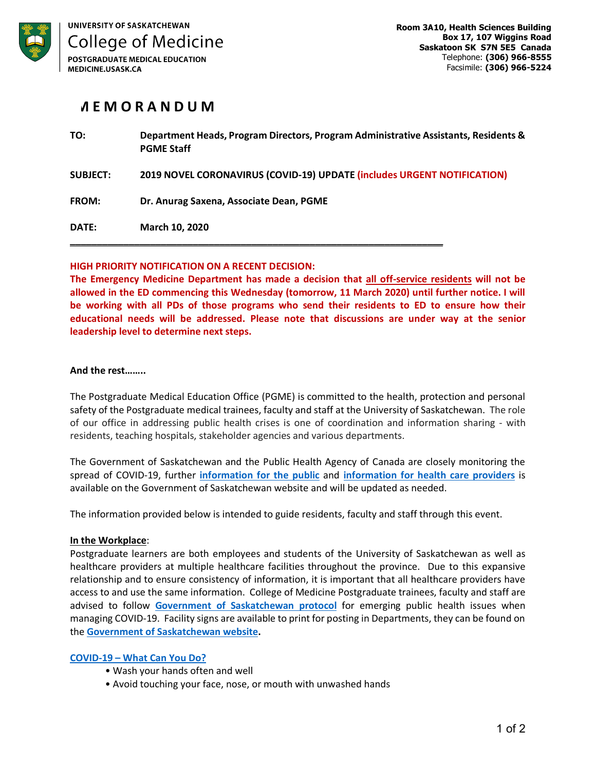

# **M E M O R A N D U M**

| TO:             | Department Heads, Program Directors, Program Administrative Assistants, Residents &<br><b>PGME Staff</b> |
|-----------------|----------------------------------------------------------------------------------------------------------|
| <b>SUBJECT:</b> | 2019 NOVEL CORONAVIRUS (COVID-19) UPDATE (includes URGENT NOTIFICATION)                                  |
| <b>FROM:</b>    | Dr. Anurag Saxena, Associate Dean, PGME                                                                  |
| DATE:           | <b>March 10, 2020</b>                                                                                    |

# **HIGH PRIORITY NOTIFICATION ON A RECENT DECISION:**

**The Emergency Medicine Department has made a decision that all off-service residents will not be allowed in the ED commencing this Wednesday (tomorrow, 11 March 2020) until further notice. I will be working with all PDs of those programs who send their residents to ED to ensure how their educational needs will be addressed. Please note that discussions are under way at the senior leadership level to determine next steps.**

#### **And the rest……..**

The Postgraduate Medical Education Office (PGME) is committed to the health, protection and personal safety of the Postgraduate medical trainees, faculty and staff at the University of Saskatchewan. The role of our office in addressing public health crises is one of coordination and information sharing - with residents, teaching hospitals, stakeholder agencies and various departments.

The Government of Saskatchewan and the Public Health Agency of Canada are closely monitoring the spread of COVID-19, further **information for the public** and **information for health care providers** is available on the Government of Saskatchewan website and will be updated as needed.

The information provided below is intended to guide residents, faculty and staff through this event.

# **In the Workplace**:

Postgraduate learners are both employees and students of the University of Saskatchewan as well as healthcare providers at multiple healthcare facilities throughout the province. Due to this expansive relationship and to ensure consistency of information, it is important that all healthcare providers have access to and use the same information. College of Medicine Postgraduate trainees, faculty and staff are advised to follow **Government of Saskatchewan protocol** for emerging public health issues when managing COVID-19. Facility signs are available to print for posting in Departments, they can be found on the **Government of Saskatchewan website.**

#### **COVID-19 – What Can You Do?**

- Wash your hands often and well
- Avoid touching your face, nose, or mouth with unwashed hands